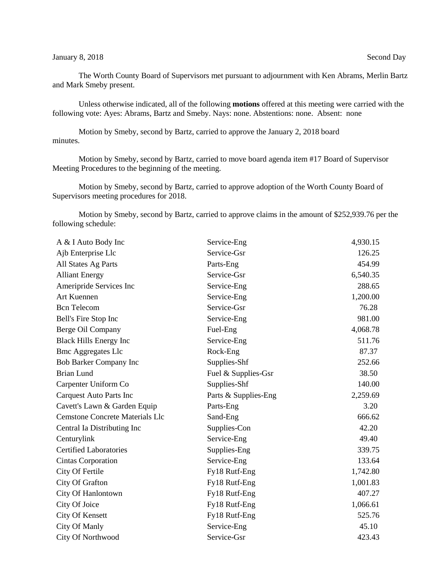## January 8, 2018 Second Day

The Worth County Board of Supervisors met pursuant to adjournment with Ken Abrams, Merlin Bartz and Mark Smeby present.

Unless otherwise indicated, all of the following **motions** offered at this meeting were carried with the following vote: Ayes: Abrams, Bartz and Smeby. Nays: none. Abstentions: none. Absent: none

Motion by Smeby, second by Bartz, carried to approve the January 2, 2018 board minutes.

Motion by Smeby, second by Bartz, carried to move board agenda item #17 Board of Supervisor Meeting Procedures to the beginning of the meeting.

Motion by Smeby, second by Bartz, carried to approve adoption of the Worth County Board of Supervisors meeting procedures for 2018.

Motion by Smeby, second by Bartz, carried to approve claims in the amount of \$252,939.76 per the following schedule:

| A & I Auto Body Inc                    | Service-Eng          | 4,930.15 |
|----------------------------------------|----------------------|----------|
| Ajb Enterprise Llc                     | Service-Gsr          | 126.25   |
| All States Ag Parts                    | Parts-Eng            | 454.99   |
| <b>Alliant Energy</b>                  | Service-Gsr          | 6,540.35 |
| Ameripride Services Inc                | Service-Eng          | 288.65   |
| Art Kuennen                            | Service-Eng          | 1,200.00 |
| <b>Bcn</b> Telecom                     | Service-Gsr          | 76.28    |
| Bell's Fire Stop Inc                   | Service-Eng          | 981.00   |
| Berge Oil Company                      | Fuel-Eng             | 4,068.78 |
| <b>Black Hills Energy Inc</b>          | Service-Eng          | 511.76   |
| <b>Bmc Aggregates Llc</b>              | Rock-Eng             | 87.37    |
| <b>Bob Barker Company Inc</b>          | Supplies-Shf         | 252.66   |
| <b>Brian Lund</b>                      | Fuel & Supplies-Gsr  | 38.50    |
| Carpenter Uniform Co                   | Supplies-Shf         | 140.00   |
| <b>Carquest Auto Parts Inc</b>         | Parts & Supplies-Eng | 2,259.69 |
| Cavett's Lawn & Garden Equip           | Parts-Eng            | 3.20     |
| <b>Cemstone Concrete Materials Llc</b> | Sand-Eng             | 666.62   |
| Central Ia Distributing Inc            | Supplies-Con         | 42.20    |
| Centurylink                            | Service-Eng          | 49.40    |
| <b>Certified Laboratories</b>          | Supplies-Eng         | 339.75   |
| Cintas Corporation                     | Service-Eng          | 133.64   |
| City Of Fertile                        | Fy18 Rutf-Eng        | 1,742.80 |
| City Of Grafton                        | Fy18 Rutf-Eng        | 1,001.83 |
| City Of Hanlontown                     | Fy18 Rutf-Eng        | 407.27   |
| City Of Joice                          | Fy18 Rutf-Eng        | 1,066.61 |
| City Of Kensett                        | Fy18 Rutf-Eng        | 525.76   |
| City Of Manly                          | Service-Eng          | 45.10    |
| City Of Northwood                      | Service-Gsr          | 423.43   |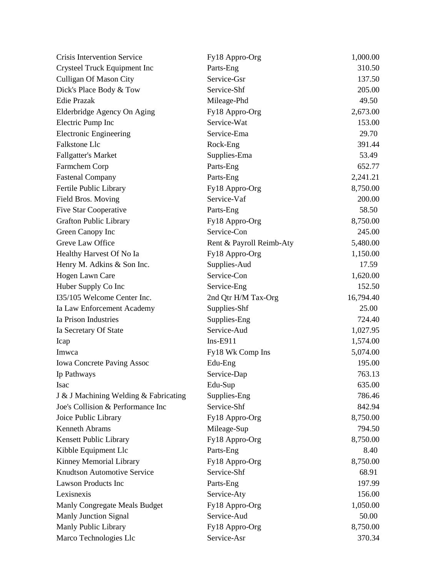| <b>Crisis Intervention Service</b>    | Fy18 Appro-Org           | 1,000.00  |
|---------------------------------------|--------------------------|-----------|
| Crysteel Truck Equipment Inc          | Parts-Eng                | 310.50    |
| <b>Culligan Of Mason City</b>         | Service-Gsr              | 137.50    |
| Dick's Place Body & Tow               | Service-Shf              | 205.00    |
| <b>Edie Prazak</b>                    | Mileage-Phd              | 49.50     |
| Elderbridge Agency On Aging           | Fy18 Appro-Org           | 2,673.00  |
| Electric Pump Inc                     | Service-Wat              | 153.00    |
| <b>Electronic Engineering</b>         | Service-Ema              | 29.70     |
| Falkstone Llc                         | Rock-Eng                 | 391.44    |
| <b>Fallgatter's Market</b>            | Supplies-Ema             | 53.49     |
| Farmchem Corp                         | Parts-Eng                | 652.77    |
| <b>Fastenal Company</b>               | Parts-Eng                | 2,241.21  |
| Fertile Public Library                | Fy18 Appro-Org           | 8,750.00  |
| Field Bros. Moving                    | Service-Vaf              | 200.00    |
| <b>Five Star Cooperative</b>          | Parts-Eng                | 58.50     |
| <b>Grafton Public Library</b>         | Fy18 Appro-Org           | 8,750.00  |
| Green Canopy Inc                      | Service-Con              | 245.00    |
| Greve Law Office                      | Rent & Payroll Reimb-Aty | 5,480.00  |
| Healthy Harvest Of No Ia              | Fy18 Appro-Org           | 1,150.00  |
| Henry M. Adkins & Son Inc.            | Supplies-Aud             | 17.59     |
| Hogen Lawn Care                       | Service-Con              | 1,620.00  |
| Huber Supply Co Inc                   | Service-Eng              | 152.50    |
| I35/105 Welcome Center Inc.           | 2nd Qtr H/M Tax-Org      | 16,794.40 |
| Ia Law Enforcement Academy            | Supplies-Shf             | 25.00     |
| Ia Prison Industries                  | Supplies-Eng             | 724.40    |
| Ia Secretary Of State                 | Service-Aud              | 1,027.95  |
| Icap                                  | $Ins-E911$               | 1,574.00  |
| Imwca                                 | Fy18 Wk Comp Ins         | 5,074.00  |
| <b>Iowa Concrete Paving Assoc</b>     | Edu-Eng                  | 195.00    |
| Ip Pathways                           | Service-Dap              | 763.13    |
| Isac                                  | Edu-Sup                  | 635.00    |
| J & J Machining Welding & Fabricating | Supplies-Eng             | 786.46    |
| Joe's Collision & Performance Inc     | Service-Shf              | 842.94    |
| Joice Public Library                  | Fy18 Appro-Org           | 8,750.00  |
| Kenneth Abrams                        | Mileage-Sup              | 794.50    |
| Kensett Public Library                | Fy18 Appro-Org           | 8,750.00  |
| Kibble Equipment Llc                  | Parts-Eng                | 8.40      |
| Kinney Memorial Library               | Fy18 Appro-Org           | 8,750.00  |
| <b>Knudtson Automotive Service</b>    | Service-Shf              | 68.91     |
| <b>Lawson Products Inc</b>            | Parts-Eng                | 197.99    |
| Lexisnexis                            | Service-Aty              | 156.00    |
| Manly Congregate Meals Budget         | Fy18 Appro-Org           | 1,050.00  |
| <b>Manly Junction Signal</b>          | Service-Aud              | 50.00     |
| Manly Public Library                  | Fy18 Appro-Org           | 8,750.00  |
| Marco Technologies Llc                | Service-Asr              | 370.34    |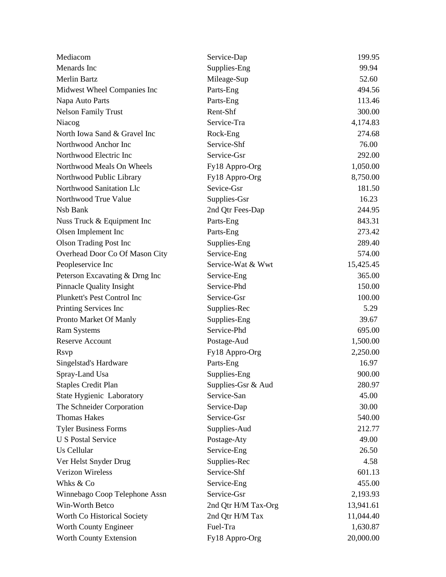| Mediacom                        | Service-Dap         | 199.95    |
|---------------------------------|---------------------|-----------|
| Menards Inc                     | Supplies-Eng        | 99.94     |
| <b>Merlin Bartz</b>             | Mileage-Sup         | 52.60     |
| Midwest Wheel Companies Inc     | Parts-Eng           | 494.56    |
| Napa Auto Parts                 | Parts-Eng           | 113.46    |
| <b>Nelson Family Trust</b>      | Rent-Shf            | 300.00    |
| Niacog                          | Service-Tra         | 4,174.83  |
| North Iowa Sand & Gravel Inc    | Rock-Eng            | 274.68    |
| Northwood Anchor Inc            | Service-Shf         | 76.00     |
| Northwood Electric Inc          | Service-Gsr         | 292.00    |
| Northwood Meals On Wheels       | Fy18 Appro-Org      | 1,050.00  |
| Northwood Public Library        | Fy18 Appro-Org      | 8,750.00  |
| Northwood Sanitation Llc        | Sevice-Gsr          | 181.50    |
| Northwood True Value            | Supplies-Gsr        | 16.23     |
| Nsb Bank                        | 2nd Qtr Fees-Dap    | 244.95    |
| Nuss Truck & Equipment Inc      | Parts-Eng           | 843.31    |
| Olsen Implement Inc             | Parts-Eng           | 273.42    |
| <b>Olson Trading Post Inc</b>   | Supplies-Eng        | 289.40    |
| Overhead Door Co Of Mason City  | Service-Eng         | 574.00    |
| Peopleservice Inc               | Service-Wat & Wwt   | 15,425.45 |
| Peterson Excavating & Drng Inc  | Service-Eng         | 365.00    |
| <b>Pinnacle Quality Insight</b> | Service-Phd         | 150.00    |
| Plunkett's Pest Control Inc     | Service-Gsr         | 100.00    |
| Printing Services Inc           | Supplies-Rec        | 5.29      |
| Pronto Market Of Manly          | Supplies-Eng        | 39.67     |
| <b>Ram Systems</b>              | Service-Phd         | 695.00    |
| Reserve Account                 | Postage-Aud         | 1,500.00  |
| <b>R</b> svp                    | Fy18 Appro-Org      | 2,250.00  |
| Singelstad's Hardware           | Parts-Eng           | 16.97     |
| Spray-Land Usa                  | Supplies-Eng        | 900.00    |
| <b>Staples Credit Plan</b>      | Supplies-Gsr & Aud  | 280.97    |
| State Hygienic Laboratory       | Service-San         | 45.00     |
| The Schneider Corporation       | Service-Dap         | 30.00     |
| <b>Thomas Hakes</b>             | Service-Gsr         | 540.00    |
| <b>Tyler Business Forms</b>     | Supplies-Aud        | 212.77    |
| <b>U S Postal Service</b>       | Postage-Aty         | 49.00     |
| Us Cellular                     | Service-Eng         | 26.50     |
| Ver Helst Snyder Drug           | Supplies-Rec        | 4.58      |
| Verizon Wireless                | Service-Shf         | 601.13    |
| Whks & Co                       | Service-Eng         | 455.00    |
| Winnebago Coop Telephone Assn   | Service-Gsr         | 2,193.93  |
| Win-Worth Betco                 | 2nd Qtr H/M Tax-Org | 13,941.61 |
| Worth Co Historical Society     | 2nd Qtr H/M Tax     | 11,044.40 |
| Worth County Engineer           | Fuel-Tra            | 1,630.87  |
| Worth County Extension          | Fy18 Appro-Org      | 20,000.00 |